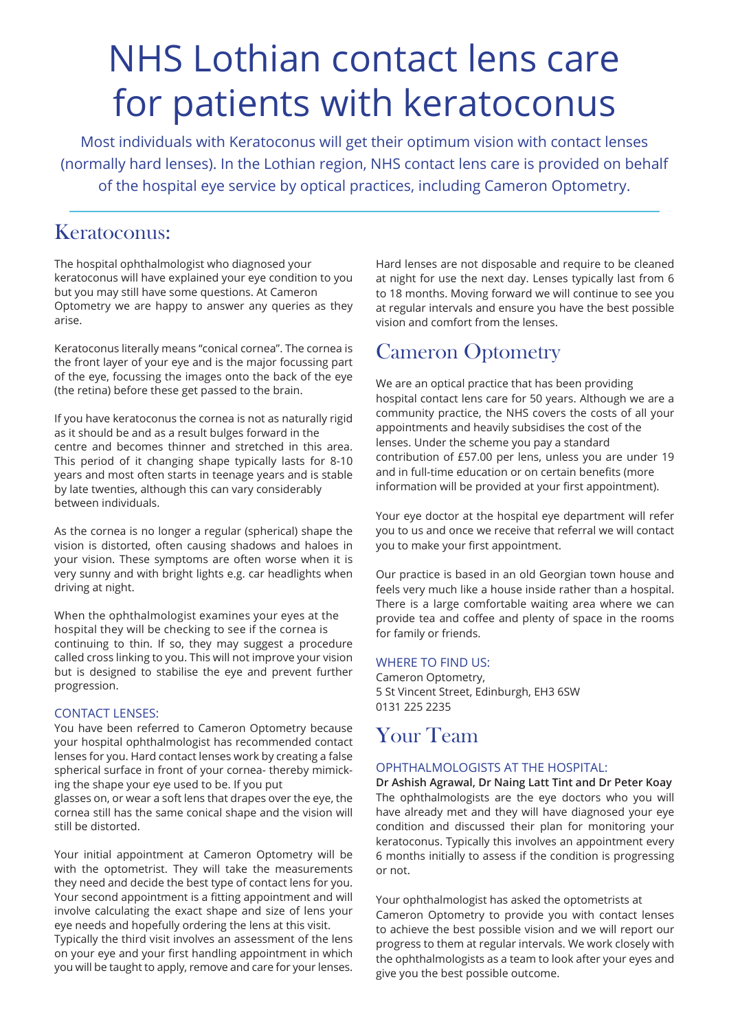# NHS Lothian contact lens care for patients with keratoconus

Most individuals with Keratoconus will get their optimum vision with contact lenses (normally hard lenses). In the Lothian region, NHS contact lens care is provided on behalf of the hospital eye service by optical practices, including Cameron Optometry.

### Keratoconus:

The hospital ophthalmologist who diagnosed your keratoconus will have explained your eye condition to you but you may still have some questions. At Cameron Optometry we are happy to answer any queries as they arise.

Keratoconus literally means "conical cornea". The cornea is the front layer of your eye and is the major focussing part of the eye, focussing the images onto the back of the eye (the retina) before these get passed to the brain.

If you have keratoconus the cornea is not as naturally rigid as it should be and as a result bulges forward in the centre and becomes thinner and stretched in this area. This period of it changing shape typically lasts for 8-10 years and most often starts in teenage years and is stable by late twenties, although this can vary considerably between individuals.

As the cornea is no longer a regular (spherical) shape the vision is distorted, often causing shadows and haloes in your vision. These symptoms are often worse when it is very sunny and with bright lights e.g. car headlights when driving at night.

When the ophthalmologist examines your eyes at the hospital they will be checking to see if the cornea is continuing to thin. If so, they may suggest a procedure called cross linking to you. This will not improve your vision but is designed to stabilise the eye and prevent further progression.

### CONTACT LENSES:

You have been referred to Cameron Optometry because your hospital ophthalmologist has recommended contact lenses for you. Hard contact lenses work by creating a false spherical surface in front of your cornea- thereby mimicking the shape your eye used to be. If you put

glasses on, or wear a soft lens that drapes over the eye, the cornea still has the same conical shape and the vision will still be distorted.

Your initial appointment at Cameron Optometry will be with the optometrist. They will take the measurements they need and decide the best type of contact lens for you. Your second appointment is a fitting appointment and will involve calculating the exact shape and size of lens your eye needs and hopefully ordering the lens at this visit.

Typically the third visit involves an assessment of the lens on your eye and your first handling appointment in which you will be taught to apply, remove and care for your lenses.

Hard lenses are not disposable and require to be cleaned at night for use the next day. Lenses typically last from 6 to 18 months. Moving forward we will continue to see you at regular intervals and ensure you have the best possible vision and comfort from the lenses.

# Cameron Optometry

We are an optical practice that has been providing hospital contact lens care for 50 years. Although we are a community practice, the NHS covers the costs of all your appointments and heavily subsidises the cost of the lenses. Under the scheme you pay a standard contribution of £57.00 per lens, unless you are under 19 and in full-time education or on certain benefits (more information will be provided at your first appointment).

Your eye doctor at the hospital eye department will refer you to us and once we receive that referral we will contact you to make your first appointment.

Our practice is based in an old Georgian town house and feels very much like a house inside rather than a hospital. There is a large comfortable waiting area where we can provide tea and coffee and plenty of space in the rooms for family or friends.

### WHERE TO FIND US:

Cameron Optometry, 5 St Vincent Street, Edinburgh, EH3 6SW 0131 225 2235

# Your Team

### OPHTHALMOLOGISTS AT THE HOSPITAL:

**Dr Ashish Agrawal, Dr Naing Latt Tint and Dr Peter Koay**  The ophthalmologists are the eye doctors who you will have already met and they will have diagnosed your eye condition and discussed their plan for monitoring your keratoconus. Typically this involves an appointment every 6 months initially to assess if the condition is progressing or not.

Your ophthalmologist has asked the optometrists at Cameron Optometry to provide you with contact lenses to achieve the best possible vision and we will report our progress to them at regular intervals. We work closely with the ophthalmologists as a team to look after your eyes and give you the best possible outcome.